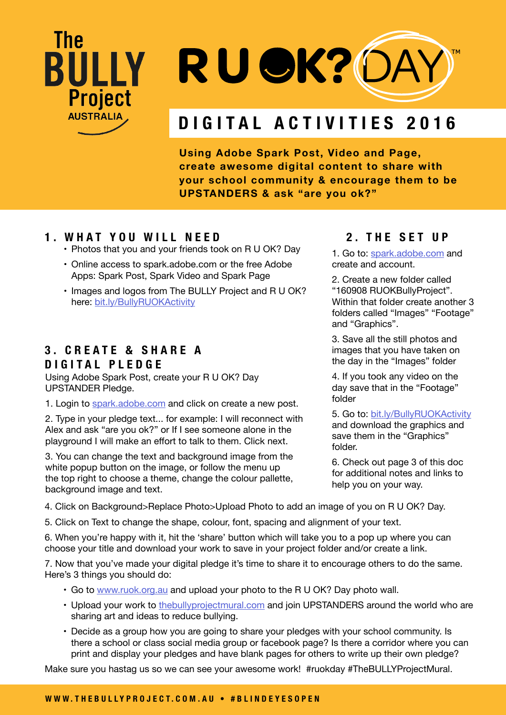## The **BÜLLY** RU OK?OA **Project AUSTRALIA DIGITAL ACTIVITIES 2016**

**Using Adobe Spark Post, Video and Page, create awesome digital content to share with your school community & encourage them to be UPSTANDERS & ask "are you ok?"**

#### **1. WHAT YOU WILL NEED**

- Photos that you and your friends took on R U OK? Day
- Online access to spark.adobe.com or the free Adobe Apps: Spark Post, Spark Video and Spark Page
- Images and logos from The BULLY Project and R U OK? here: [bit.ly/BullyRUOKActivity](http://bit.ly/BullyRUOKActivity)

### **3 . C R E A T E & S H A R E A DIGITAL PLEDGE**

Using Adobe Spark Post, create your R U OK? Day UPSTANDER Pledge.

1. Login to [spark.adobe.com](https://spark.adobe.com) and click on create a new post.

2. Type in your pledge text... for example: I will reconnect with Alex and ask "are you ok?" or If I see someone alone in the playground I will make an effort to talk to them. Click next.

3. You can change the text and background image from the white popup button on the image, or follow the menu up the top right to choose a theme, change the colour pallette, background image and text.

#### **2. THE SET UP**

1. Go to: [spark.adobe.com](http://spark.adobe.com) and create and account.

2. Create a new folder called "160908 RUOKBullyProject". Within that folder create another 3 folders called "Images" "Footage" and "Graphics".

3. Save all the still photos and images that you have taken on the day in the "Images" folder

4. If you took any video on the day save that in the "Footage" folder

5. Go to: [bit.ly/BullyRUOKActivity](http://bit.ly/BullyRUOKActivity)

and download the graphics and save them in the "Graphics" folder.

6. Check out page 3 of this doc for additional notes and links to help you on your way.

4. Click on Background>Replace Photo>Upload Photo to add an image of you on R U OK? Day.

5. Click on Text to change the shape, colour, font, spacing and alignment of your text.

6. When you're happy with it, hit the 'share' button which will take you to a pop up where you can choose your title and download your work to save in your project folder and/or create a link.

7. Now that you've made your digital pledge it's time to share it to encourage others to do the same. Here's 3 things you should do:

- • Go to [www.ruok.org.au](http://www.ruok.org.au) and upload your photo to the R U OK? Day photo wall.
- Upload your work to [thebullyprojectmural.com](http://www.thebullyprojectmural.com) and join UPSTANDERS around the world who are sharing art and ideas to reduce bullying.
- Decide as a group how you are going to share your pledges with your school community. Is there a school or class social media group or facebook page? Is there a corridor where you can print and display your pledges and have blank pages for others to write up their own pledge?

Make sure you hastag us so we can see your awesome work! #ruokday #TheBULLYProjectMural.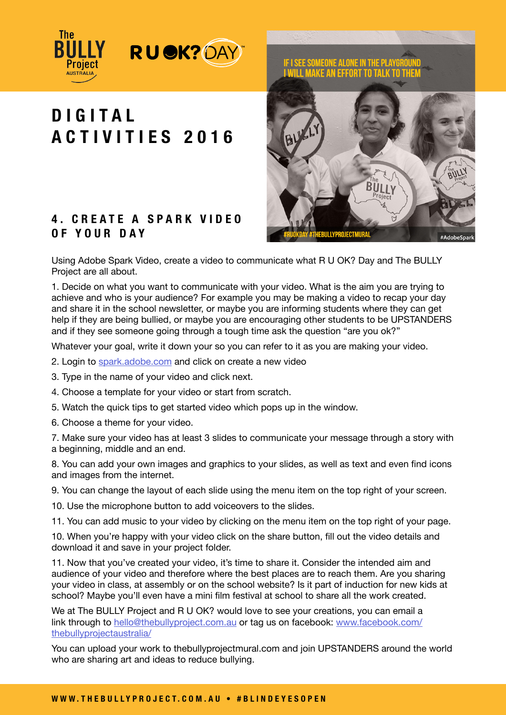

# **D I G I T A L ACTIVITIES 2016**

### **4 . C R E A T E A S P A R K V I D E O OF YOUR DAY**



Using Adobe Spark Video, create a video to communicate what R U OK? Day and The BULLY Project are all about.

1. Decide on what you want to communicate with your video. What is the aim you are trying to achieve and who is your audience? For example you may be making a video to recap your day and share it in the school newsletter, or maybe you are informing students where they can get help if they are being bullied, or maybe you are encouraging other students to be UPSTANDERS and if they see someone going through a tough time ask the question "are you ok?"

Whatever your goal, write it down your so you can refer to it as you are making your video.

- 2. Login to [spark.adobe.com](https://spark.adobe.com) and click on create a new video
- 3. Type in the name of your video and click next.
- 4. Choose a template for your video or start from scratch.
- 5. Watch the quick tips to get started video which pops up in the window.
- 6. Choose a theme for your video.

7. Make sure your video has at least 3 slides to communicate your message through a story with a beginning, middle and an end.

8. You can add your own images and graphics to your slides, as well as text and even find icons and images from the internet.

9. You can change the layout of each slide using the menu item on the top right of your screen.

10. Use the microphone button to add voiceovers to the slides.

11. You can add music to your video by clicking on the menu item on the top right of your page.

10. When you're happy with your video click on the share button, fill out the video details and download it and save in your project folder.

11. Now that you've created your video, it's time to share it. Consider the intended aim and audience of your video and therefore where the best places are to reach them. Are you sharing your video in class, at assembly or on the school website? Is it part of induction for new kids at school? Maybe you'll even have a mini film festival at school to share all the work created.

We at The BULLY Project and R U OK? would love to see your creations, you can email a link through to [hello@thebullyproject.com.au](mailto:hello%40thebullyproject.com.au?subject=Check%20out%20my%20R%20U%20OK?%20Day%20Creation) or tag us on facebook: [www.facebook.com/](http://www.facebook.com/thebullyprojectaustralia/ ) [thebullyprojectaustralia/](http://www.facebook.com/thebullyprojectaustralia/ )

You can upload your work to thebullyprojectmural.com and join UPSTANDERS around the world who are sharing art and ideas to reduce bullying.